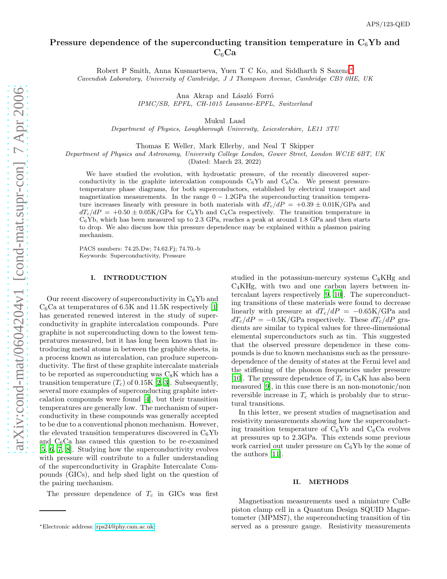# Pressure dependence of the superconducting transition temperature in  $C_6$ Yb and  $C_6Ca$

Robert P Smith, Anna Kusmartseva, Yuen T C Ko, and Siddharth S Saxena[∗](#page-0-0) Cavendish Laboratory, University of Cambridge, J J Thompson Avenue, Cambridge CB3 0HE, UK

> Ana Akrap and László Forró IPMC/SB, EPFL, CH-1015 Lausanne-EPFL, Switzerland

> > Mukul Laad

Department of Physics, Loughborough University, Leicestershire, LE11 3TU

Thomas E Weller, Mark Ellerby, and Neal T Skipper

Department of Physics and Astronomy, University College London, Gower Street, London WC1E 6BT, UK

(Dated: March 23, 2022)

We have studied the evolution, with hydrostatic pressure, of the recently discovered superconductivity in the graphite intercalation compounds  $C_6Yb$  and  $C_6Ca$ . We present pressuretemperature phase diagrams, for both superconductors, established by electrical transport and magnetization measurements. In the range  $0 - 1.2GPa$  the superconducting transition temperature increases linearly with pressure in both materials with  $dT_c/dP = +0.39 \pm 0.01$ K/GPa and  $dT_c/dP = +0.50 \pm 0.05$ K/GPa for C<sub>6</sub>Yb and C<sub>6</sub>Ca respectively. The transition temperature in  $C_6$ Yb, which has been measured up to 2.3 GPa, reaches a peak at around 1.8 GPa and then starts to drop. We also discuss how this pressure dependence may be explained within a plasmon pairing mechanism.

PACS numbers: 74.25.Dw; 74.62.Fj; 74.70.-b Keywords: Superconductivity, Pressure

#### I. INTRODUCTION

Our recent discovery of superconductivity in  $C_6Yb$  and  $C_6$ Ca at temperatures of 6.5K and 11.5K respectively [\[1](#page-3-0)] has generated renewed interest in the study of superconductivity in graphite intercalation compounds. Pure graphite is not superconducting down to the lowest temperatures measured, but it has long been known that introducing metal atoms in between the graphite sheets, in a process known as intercalation, can produce superconductivity. The first of these graphite intercalate materials to be reported as superconducting was  $C_8K$  which has a transition temperature  $(T_c)$  of 0.15K [\[2,](#page-3-1) [3](#page-3-2)]. Subsequently, several more examples of superconducting graphite intercalation compounds were found [\[4\]](#page-3-3), but their transition temperatures are generally low. The mechanism of superconductivity in these compounds was generally accepted to be due to a conventional phonon mechanism. However, the elevated transition temperatures discovered in  $C_6Yb$ and  $C_6$ Ca has caused this question to be re-examined [\[5,](#page-3-4) [6](#page-3-5), [7](#page-3-6), [8\]](#page-3-7). Studying how the superconductivity evolves with pressure will contribute to a fuller understanding of the superconductivity in Graphite Intercalate Compounds (GICs), and help shed light on the question of the pairing mechanism.

The pressure dependence of  $T_c$  in GICs was first

studied in the potassium-mercury systems  $C_8KHg$  and  $C_4KHg$ , with two and one carbon layers between intercalant layers respectively [\[9,](#page-3-8) [10\]](#page-3-9). The superconducting transitions of these materials were found to decrease linearly with pressure at  $dT_c/dP = -0.65$ K/GPa and  $dT_c/dP = -0.5K/GPa$  respectively. These  $dT_c/dP$  gradients are similar to typical values for three-dimensional elemental superconductors such as tin. This suggested that the observed pressure dependence in these compounds is due to known mechanisms such as the pressuredependence of the density of states at the Fermi level and the stiffening of the phonon frequencies under pressure [\[10\]](#page-3-9). The pressure dependence of  $T_c$  in  $C_8K$  has also been measured [\[9\]](#page-3-8), in this case there is an non-monotonic/non reversible increase in  $T_c$  which is probably due to structural transitions.

In this letter, we present studies of magnetisation and resistivity measurements showing how the superconducting transition temperature of  $C_6Yb$  and  $C_6Ca$  evolves at pressures up to 2.3GPa. This extends some previous work carried out under pressure on  $C_6$ Yb by the some of the authors [\[11\]](#page-3-10).

#### II. METHODS

Magnetisation measurements used a miniature CuBe piston clamp cell in a Quantum Design SQUID Magnetometer (MPMS7), the superconducting transition of tin served as a pressure gauge. Resistivity measurements

<span id="page-0-0"></span><sup>∗</sup>Electronic address: [rps24@phy.cam.ac.uk](mailto:rps24@phy.cam.ac.uk)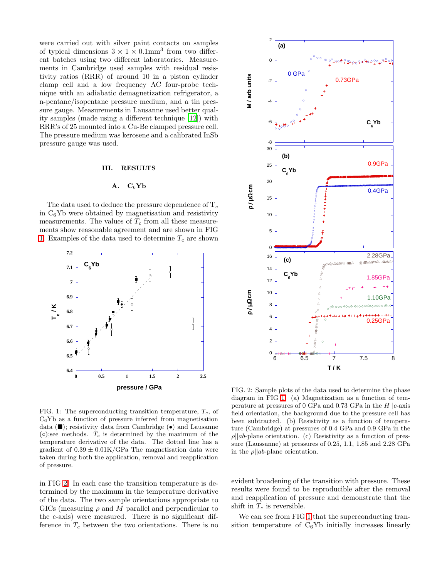were carried out with silver paint contacts on samples of typical dimensions  $3 \times 1 \times 0.1$ mm<sup>3</sup> from two different batches using two different laboratories. Measurements in Cambridge used samples with residual resistivity ratios (RRR) of around 10 in a piston cylinder clamp cell and a low frequency AC four-probe technique with an adiabatic demagnetization refrigerator, a n-pentane/isopentane pressure medium, and a tin pressure gauge. Measurements in Lausanne used better quality samples (made using a different technique [\[12\]](#page-3-11)) with RRR's of 25 mounted into a Cu-Be clamped pressure cell. The pressure medium was kerosene and a calibrated InSb pressure gauge was used.

## III. RESULTS

#### $A. C_6Yb$

The data used to deduce the pressure dependence of  $T_c$ in  $C_6$ Yb were obtained by magnetisation and resistivity measurements. The values of  $T_c$  from all these measurements show reasonable agreement and are shown in FIG [1.](#page-1-0) Examples of the data used to determine  $T_c$  are shown



<span id="page-1-0"></span>FIG. 1: The superconducting transition temperature,  $T_c$ , of  $C_6$ Yb as a function of pressure inferred from magnetisation data  $(\blacksquare)$ ; resistivity data from Cambridge  $(\bullet)$  and Lausanne  $( \circ )$ ;see methods.  $T_c$  is determined by the maximum of the temperature derivative of the data. The dotted line has a gradient of  $0.39 \pm 0.01$ K/GPa The magnetisation data were taken during both the application, removal and reapplication of pressure.

in FIG [2.](#page-1-1) In each case the transition temperature is determined by the maximum in the temperature derivative of the data. The two sample orientations appropriate to GICs (measuring  $\rho$  and M parallel and perpendicular to the c-axis) were measured. There is no significant difference in  $T_c$  between the two orientations. There is no



<span id="page-1-1"></span>FIG. 2: Sample plots of the data used to determine the phase diagram in FIG [1.](#page-1-0) (a) Magnetization as a function of temperature at pressures of 0 GPa and 0.73 GPa in the  $H||c$ -axis field orientation, the background due to the pressure cell has been subtracted. (b) Resistivity as a function of temperature (Cambridge) at pressures of 0.4 GPa and 0.9 GPa in the  $\rho ||ab$ -plane orientation. (c) Resistivity as a function of pressure (Laussanne) at pressures of 0.25, 1.1, 1.85 and 2.28 GPa in the  $\rho || ab$ -plane orientation.

evident broadening of the transition with pressure. These results were found to be reproducible after the removal and reapplication of pressure and demonstrate that the shift in  $T_c$  is reversible.

We can see from FIG [1](#page-1-0) that the superconducting transition temperature of  $C_6Yb$  initially increases linearly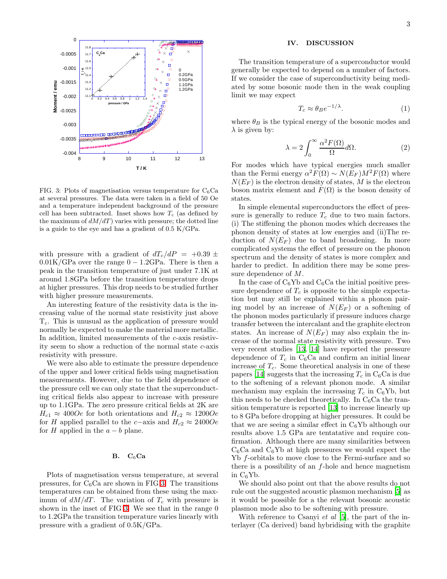

<span id="page-2-0"></span>FIG. 3: Plots of magnetisation versus temperature for  $C_6$ Ca at several pressures. The data were taken in a field of 50 Oe and a temperature independent background of the pressure cell has been subtracted. Inset shows how  $T_c$  (as defined by the maximum of  $dM/dT$ ) varies with pressure; the dotted line is a guide to the eye and has a gradient of 0.5 K/GPa.

with pressure with a gradient of  $dT_c/dP = +0.39 \pm$  $0.01K/GPa$  over the range  $0 - 1.2GPa$ . There is then a peak in the transition temperature of just under 7.1K at around 1.8GPa before the transition temperature drops at higher pressures. This drop needs to be studied further with higher pressure measurements.

An interesting feature of the resistivity data is the increasing value of the normal state resistivity just above  $T_c$ . This is unusual as the application of pressure would normally be expected to make the material more metallic. In addition, limited measurements of the c-axis resistivity seem to show a reduction of the normal state c-axis resistivity with pressure.

We were also able to estimate the pressure dependence of the upper and lower critical fields using magnetisation measurements. However, due to the field dependence of the pressure cell we can only state that the superconducting critical fields also appear to increase with pressure up to 1.1GPa. The zero pressure critical fields at 2K are  $H_{c1} \approx 400Oe$  for both orientations and  $H_{c2} \approx 1200Oe$ for H applied parallel to the c−axis and  $H_{c2} \approx 2400Oe$ for H applied in the  $a - b$  plane.

## $B. C_6Ca$

Plots of magnetisation versus temperature, at several pressures, for  $C_6$ Ca are shown in FIG [3.](#page-2-0) The transitions temperatures can be obtained from these using the maximum of  $dM/dT$ . The variation of  $T_c$  with pressure is shown in the inset of FIG [3.](#page-2-0) We see that in the range 0 to 1.2GPa the transition temperature varies linearly with pressure with a gradient of 0.5K/GPa.

## IV. DISCUSSION

The transition temperature of a superconductor would generally be expected to depend on a number of factors. If we consider the case of superconductivity being mediated by some bosonic mode then in the weak coupling limit we may expect

$$
T_c \approx \theta_B e^{-1/\lambda}.\tag{1}
$$

where  $\theta_B$  is the typical energy of the bosonic modes and  $\lambda$  is given by:

$$
\lambda = 2 \int_0^\infty \frac{\alpha^2 F(\Omega)}{\Omega} d\Omega.
$$
 (2)

For modes which have typical energies much smaller than the Fermi energy  $\alpha^2 F(\Omega) \sim N(E_F) M^2 F(\Omega)$  where  $N(E_F)$  is the electron density of states, M is the electron boson matrix element and  $F(\Omega)$  is the boson density of states.

In simple elemental superconductors the effect of pressure is generally to reduce  $T_c$  due to two main factors. (i) The stiffening the phonon modes which decreases the phonon density of states at low energies and (ii)The reduction of  $N(E_F)$  due to band broadening. In more complicated systems the effect of pressure on the phonon spectrum and the density of states is more complex and harder to predict. In addition there may be some pressure dependence of M.

In the case of  $C_6$ Yb and  $C_6$ Ca the initial positive pressure dependence of  $T_c$  is opposite to the simple expectation but may still be explained within a phonon pairing model by an increase of  $N(E_F)$  or a softening of the phonon modes particularly if pressure induces charge transfer between the intercalant and the graphite electron states. An increase of  $N(E_F)$  may also explain the increase of the normal state resistivity with pressure. Two very recent studies [\[13](#page-3-12), [14\]](#page-3-13) have reported the pressure dependence of  $T_c$  in C<sub>6</sub>Ca and confirm an initial linear increase of  $T_c$ . Some theoretical analysis in one of these papers [\[14\]](#page-3-13) suggests that the increasing  $T_c$  in  $C_6$ Ca is due to the softening of a relevant phonon mode. A similar mechanism may explain the increasing  $T_c$  in  $C_6Yb$ , but this needs to be checked theoretically. In  $C_6$ Ca the transition temperature is reported [\[13\]](#page-3-12) to increase linearly up to 8 GPa before dropping at higher pressures. It could be that we are seeing a similar effect in  $C_6$ Yb although our results above 1.5 GPa are tentatative and require confirmation. Although there are many similarities between  $C_6$ Ca and  $C_6$ Yb at high pressures we would expect the Yb f-orbitals to move close to the Fermi-surface and so there is a possibility of an  $f$ -hole and hence magnetism in  $C_6Yb$ .

We should also point out that the above results do not rule out the suggested acoustic plasmon mechanism [\[5\]](#page-3-4) as it would be possible for a the relevant bosonic acoustic plasmon mode also to be softening with pressure.

With reference to Csanyi *et al* [\[5\]](#page-3-4), the part of the interlayer (Ca derived) band hybridising with the graphite